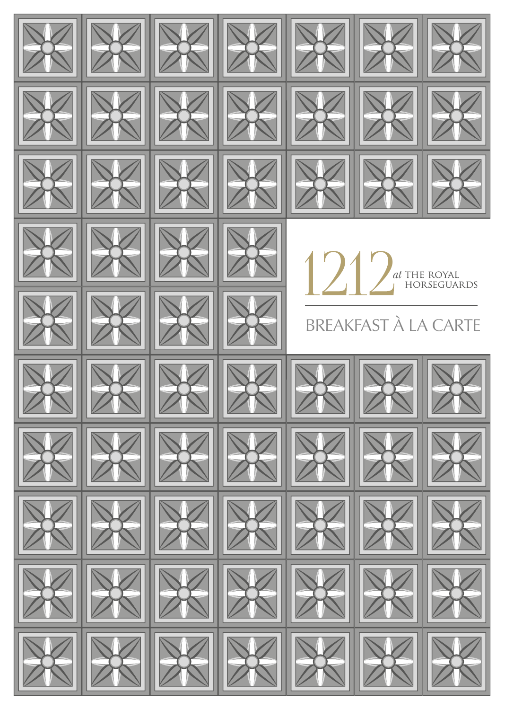